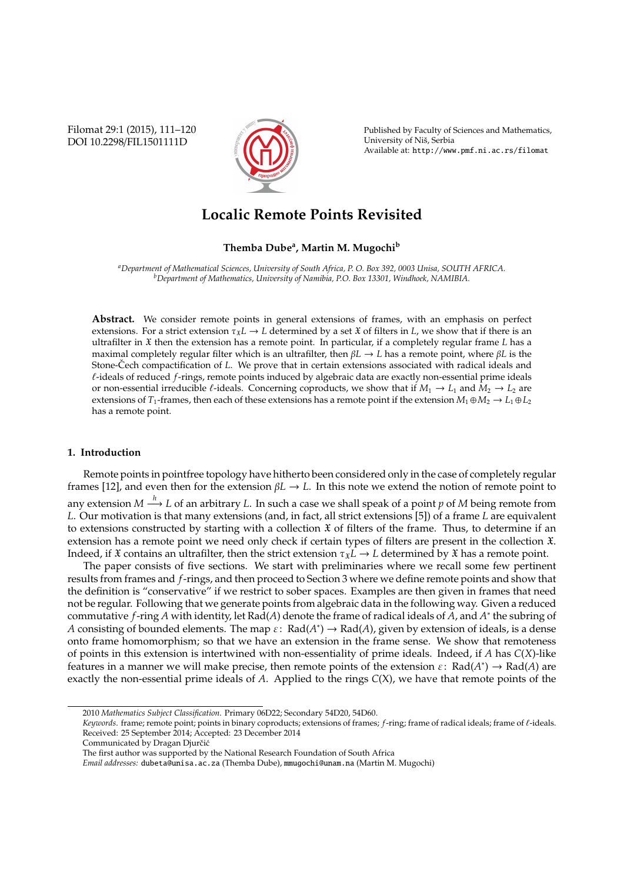Filomat 29:1 (2015), 111–120 DOI 10.2298/FIL1501111D



Published by Faculty of Sciences and Mathematics, University of Niš, Serbia Available at: http://www.pmf.ni.ac.rs/filomat

# **Localic Remote Points Revisited**

# **Themba Dube<sup>a</sup> , Martin M. Mugochi<sup>b</sup>**

*<sup>a</sup>Department of Mathematical Sciences, University of South Africa, P. O. Box 392, 0003 Unisa, SOUTH AFRICA. <sup>b</sup>Department of Mathematics, University of Namibia, P.O. Box 13301, Windhoek, NAMIBIA.*

**Abstract.** We consider remote points in general extensions of frames, with an emphasis on perfect extensions. For a strict extension  $\tau_x L \to L$  determined by a set X of filters in *L*, we show that if there is an ultrafilter in X then the extension has a remote point. In particular, if a completely regular frame *L* has a maximal completely regular filter which is an ultrafilter, then β*L* → *L* has a remote point, where β*L* is the Stone-Čech compactification of L. We prove that in certain extensions associated with radical ideals and  $\ell$ -ideals of reduced *f*-rings, remote points induced by algebraic data are exactly non-essential prime ideals or non-essential irreducible  $\ell$ -ideals. Concerning coproducts, we show that if  $M_1 \to L_1$  and  $M_2 \to L_2$  are extensions of *T*<sub>1</sub>-frames, then each of these extensions has a remote point if the extension  $M_1 \oplus M_2 \to L_1 \oplus L_2$ has a remote point.

# **1. Introduction**

Remote points in pointfree topology have hitherto been considered only in the case of completely regular frames [12], and even then for the extension β*L* → *L*. In this note we extend the notion of remote point to any extension  $M \stackrel{h}{\longrightarrow} L$  of an arbitrary *L*. In such a case we shall speak of a point  $p$  of  $M$  being remote from *L*. Our motivation is that many extensions (and, in fact, all strict extensions [5]) of a frame *L* are equivalent to extensions constructed by starting with a collection  $\mathfrak X$  of filters of the frame. Thus, to determine if an extension has a remote point we need only check if certain types of filters are present in the collection X. Indeed, if  $\mathfrak X$  contains an ultrafilter, then the strict extension  $\tau_{\mathfrak X}L \to L$  determined by  $\mathfrak X$  has a remote point.

The paper consists of five sections. We start with preliminaries where we recall some few pertinent results from frames and *f*-rings, and then proceed to Section 3 where we define remote points and show that the definition is "conservative" if we restrict to sober spaces. Examples are then given in frames that need not be regular. Following that we generate points from algebraic data in the following way. Given a reduced commutative *f*-ring *A* with identity, let Rad(*A*) denote the frame of radical ideals of *A*, and *A* ∗ the subring of *A* consisting of bounded elements. The map  $\varepsilon$ : Rad(*A*<sup>\*</sup>)  $\to$  Rad(*A*), given by extension of ideals, is a dense onto frame homomorphism; so that we have an extension in the frame sense. We show that remoteness of points in this extension is intertwined with non-essentiality of prime ideals. Indeed, if *A* has *C*(*X*)-like features in a manner we will make precise, then remote points of the extension  $\varepsilon$ : Rad( $A^*$ )  $\to$  Rad( $A$ ) are exactly the non-essential prime ideals of *A*. Applied to the rings *C*(X), we have that remote points of the

<sup>2010</sup> *Mathematics Subject Classification*. Primary 06D22; Secondary 54D20, 54D60.

Keywords. frame; remote point; points in binary coproducts; extensions of frames; *f*-ring; frame of radical ideals; frame of  $\ell$ -ideals. Received: 25 September 2014; Accepted: 23 December 2014

Communicated by Dragan Djurčić

The first author was supported by the National Research Foundation of South Africa

*Email addresses:* dubeta@unisa.ac.za (Themba Dube), mmugochi@unam.na (Martin M. Mugochi)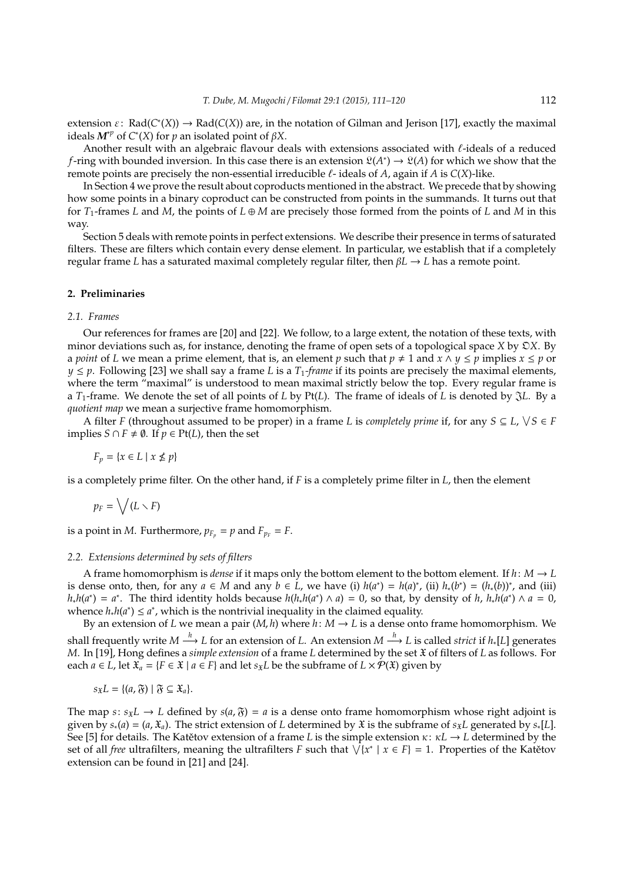extension  $\varepsilon$ : Rad( $C^*(X)$ )  $\to$  Rad( $C(X)$ ) are, in the notation of Gilman and Jerison [17], exactly the maximal ideals  $M^{\nu p}$  of  $C^{\ast}(X)$  for  $p$  an isolated point of  $\beta X$ .

Another result with an algebraic flavour deals with extensions associated with  $\ell$ -ideals of a reduced *f*-ring with bounded inversion. In this case there is an extension  $\mathfrak{L}(A^*) \to \mathfrak{L}(A)$  for which we show that the remote points are precisely the non-essential irreducible  $\ell$ - ideals of  $A$ , again if  $A$  is  $C(X)$ -like.

In Section 4 we prove the result about coproducts mentioned in the abstract. We precede that by showing how some points in a binary coproduct can be constructed from points in the summands. It turns out that for  $T_1$ -frames *L* and *M*, the points of  $L \oplus M$  are precisely those formed from the points of *L* and *M* in this way.

Section 5 deals with remote points in perfect extensions. We describe their presence in terms of saturated filters. These are filters which contain every dense element. In particular, we establish that if a completely regular frame *L* has a saturated maximal completely regular filter, then β*L* → *L* has a remote point.

# **2. Preliminaries**

#### *2.1. Frames*

Our references for frames are [20] and [22]. We follow, to a large extent, the notation of these texts, with minor deviations such as, for instance, denoting the frame of open sets of a topological space *X* by O*X*. By a *point* of *L* we mean a prime element, that is, an element *p* such that  $p \neq 1$  and  $x \wedge y \leq p$  implies  $x \leq p$  or  $y \leq p$ . Following [23] we shall say a frame *L* is a  $T_1$ -frame if its points are precisely the maximal elements, where the term "maximal" is understood to mean maximal strictly below the top. Every regular frame is a *T*1-frame. We denote the set of all points of *L* by Pt(*L*). The frame of ideals of *L* is denoted by J*L*. By a *quotient map* we mean a surjective frame homomorphism.

A filter *F* (throughout assumed to be proper) in a frame *L* is *completely prime* if, for any  $S \subseteq L$ ,  $\forall S \in F$ implies *S* ∩ *F*  $\neq$  Ø. If *p* ∈ Pt(*L*), then the set

 $F_p = \{x \in L \mid x \nleq p\}$ 

is a completely prime filter. On the other hand, if *F* is a completely prime filter in *L*, then the element

$$
p_F=\bigvee(L\smallsetminus F)
$$

is a point in *M*. Furthermore,  $p_{F_p} = p$  and  $F_{p_F} = F$ .

#### *2.2. Extensions determined by sets of filters*

A frame homomorphism is *dense* if it maps only the bottom element to the bottom element. If  $h: M \to L$ is dense onto, then, for any  $a \in M$  and any  $b \in L$ , we have (i)  $h(a^*) = h(a)^*$ , (ii)  $h_*(b^*) = (h_*(b))^*$ , and (iii)  $h_*h(a^*) = a^*$ . The third identity holds because  $h(h_*h(a^*) \wedge a) = 0$ , so that, by density of *h*,  $h_*h(a^*) \wedge a = 0$ , whence  $h_*h(a^*) \le a^*$ , which is the nontrivial inequality in the claimed equality.

By an extension of *L* we mean a pair  $(M, h)$  where  $h: M \to L$  is a dense onto frame homomorphism. We shall frequently write  $M \stackrel{h}{\longrightarrow} L$  for an extension of *L*. An extension  $M \stackrel{h}{\longrightarrow} L$  is called *strict* if  $h_*[L]$  generates *M*. In [19], Hong defines a *simple extension* of a frame *L* determined by the set X of filters of *L* as follows. For each *a* ∈ *L*, let  $\mathfrak{X}_a$  = {*F* ∈  $\mathfrak{X}$  | *a* ∈ *F*} and let *s*<sub> $\mathfrak{X}_L$ *b* be the subframe of *L* ×  $\mathcal{P}(\mathfrak{X})$  given by</sub>

$$
s_{\mathfrak{X}}L = \{(a, \mathfrak{F}) \mid \mathfrak{F} \subseteq \mathfrak{X}_a\}.
$$

The map *s*:  $s_X L \rightarrow L$  defined by  $s(a, \tilde{y}) = a$  is a dense onto frame homomorphism whose right adjoint is given by  $s_*(a) = (a, \mathfrak{X}_a)$ . The strict extension of *L* determined by  $\mathfrak{X}$  is the subframe of  $s_{\mathfrak{X}}L$  generated by  $s_*(L)$ . See [5] for details. The Katetov extension of a frame L is the simple extension  $\kappa: \kappa L \to L$  determined by the set of all *free* ultrafilters, meaning the ultrafilters *F* such that  $\sqrt{x^* \mid x \in F} = 1$ . Properties of the Katetov extension can be found in [21] and [24].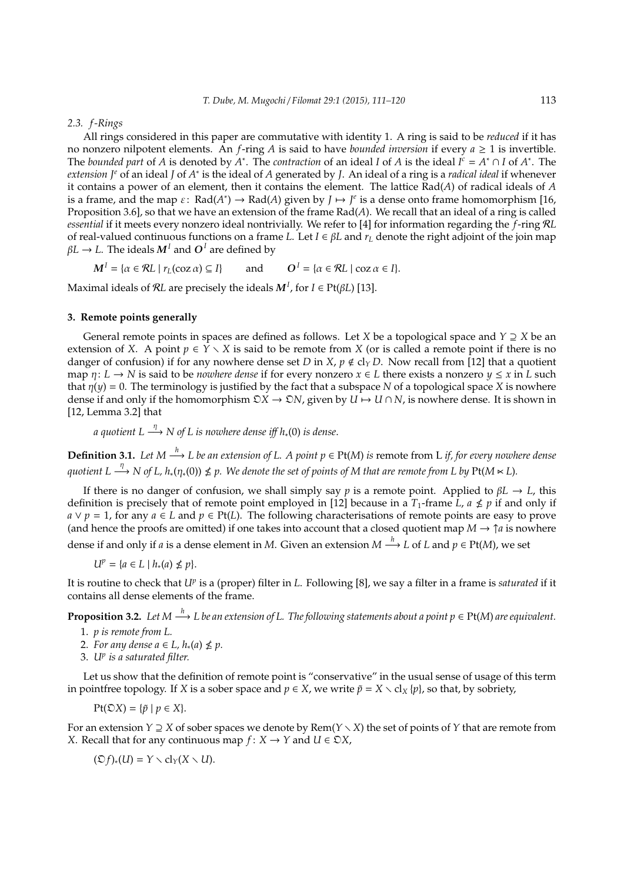#### *2.3. f -Rings*

All rings considered in this paper are commutative with identity 1. A ring is said to be *reduced* if it has no nonzero nilpotent elements. An *f*-ring *A* is said to have *bounded inversion* if every *a* ≥ 1 is invertible. The *bounded part* of *A* is denoted by  $A^*$ . The *contraction* of an ideal *I* of *A* is the ideal  $I^c = A^* \cap I$  of  $A^*$ . The *extension J<sup>e</sup>* of an ideal *J* of *A*<sup>\*</sup> is the ideal of *A* generated by *J*. An ideal of a ring is a *radical ideal* if whenever it contains a power of an element, then it contains the element. The lattice Rad(*A*) of radical ideals of *A* is a frame, and the map  $\varepsilon$ : Rad( $A^*$ )  $\to$  Rad( $A$ ) given by  $J \mapsto J^e$  is a dense onto frame homomorphism [16, Proposition 3.6], so that we have an extension of the frame Rad(*A*). We recall that an ideal of a ring is called *essential* if it meets every nonzero ideal nontrivially. We refer to [4] for information regarding the *f*-ring R*L* of real-valued continuous functions on a frame *L*. Let  $I \in \beta L$  and  $r_L$  denote the right adjoint of the join map  $\beta L \to L$ . The ideals  $\bm{M}^I$  and  $\bm{O}^I$  are defined by

 $M^I = \{ \alpha \in \mathcal{R}L \mid r_L(\cos \alpha) \subseteq I \}$  and  $\mathbf{O}^I = \{ \alpha \in \mathcal{R} \mid \text{coz } \alpha \in I \}.$ 

Maximal ideals of R*L* are precisely the ideals *M<sup>I</sup>* , for *I* ∈ Pt(β*L*) [13].

# **3. Remote points generally**

General remote points in spaces are defined as follows. Let *X* be a topological space and *Y* ⊇ *X* be an extension of *X*. A point  $p \in Y \setminus X$  is said to be remote from *X* (or is called a remote point if there is no danger of confusion) if for any nowhere dense set *D* in *X*,  $p \notin cl_Y D$ . Now recall from [12] that a quotient map  $\eta: L \to N$  is said to be *nowhere dense* if for every nonzero  $x \in L$  there exists a nonzero  $y \leq x$  in *L* such that  $\eta(y) = 0$ . The terminology is justified by the fact that a subspace *N* of a topological space *X* is nowhere dense if and only if the homomorphism  $\mathfrak{D}X \to \mathfrak{D}N$ , given by  $U \mapsto U \cap N$ , is nowhere dense. It is shown in [12, Lemma 3.2] that

*a quotient L* <sup>η</sup> −→ *N of L is nowhere dense i*ff *h*∗(0) *is dense*.

**Definition 3.1.** Let  $M \stackrel{h}{\longrightarrow} L$  be an extension of L. A point  $p ∈ \mathrm{Pt}(M)$  is remote from L if, for every nowhere dense  $q$ uotient  $L \stackrel{\eta}{\longrightarrow} N$  of  $L$ ,  $h_*(\eta_*(0)) \nleq p$ . We denote the set of points of M that are remote from  $L$  by  $\mathrm{Pt}(M \ltimes L)$ .

If there is no danger of confusion, we shall simply say *p* is a remote point. Applied to β*L* → *L*, this definition is precisely that of remote point employed in [12] because in a  $T_1$ -frame  $\tilde{L}$ ,  $a \nleq p$  if and only if  $a \vee p = 1$ , for any  $a \in L$  and  $p \in Pt(L)$ . The following characterisations of remote points are easy to prove (and hence the proofs are omitted) if one takes into account that a closed quotient map  $M \to \uparrow a$  is nowhere dense if and only if *a* is a dense element in *M*. Given an extension  $M \stackrel{h}{\longrightarrow} L$  of *L* and  $p \in Pt(M)$ , we set

*U*<sup>*p*</sup> = {*a* ∈ *L* | *h*<sub>∗</sub>(*a*) ≰ *p*}.

It is routine to check that *U<sup>p</sup>* is a (proper) filter in *L*. Following [8], we say a filter in a frame is *saturated* if it contains all dense elements of the frame.

**Proposition 3.2.** Let M  $\stackrel{h}{\longrightarrow}$  L be an extension of L. The following statements about a point  $p \in \mathrm{Pt}(M)$  are equivalent.

- 1. *p is remote from L.*
- 2. For any dense  $a \in L$ ,  $h_*(a) \nleq p$ .
- 3. *U<sup>p</sup> is a saturated filter.*

Let us show that the definition of remote point is "conservative" in the usual sense of usage of this term in pointfree topology. If *X* is a sober space and *p* ∈ *X*, we write  $\tilde{p}$  = *X*  $\lt d_X$  {*p*}, so that, by sobriety,

 $Pt(DX) = {\{\tilde{p} \mid p \in X\}}.$ 

For an extension *Y*  $\supseteq$  *X* of sober spaces we denote by Rem(*Y*  $\times$  *X*) the set of points of *Y* that are remote from *X*. Recall that for any continuous map  $f: X \rightarrow Y$  and  $U \in \mathcal{DX}$ ,

 $({\mathfrak D} f)_*(U) = Y \setminus cl_Y(X \setminus U).$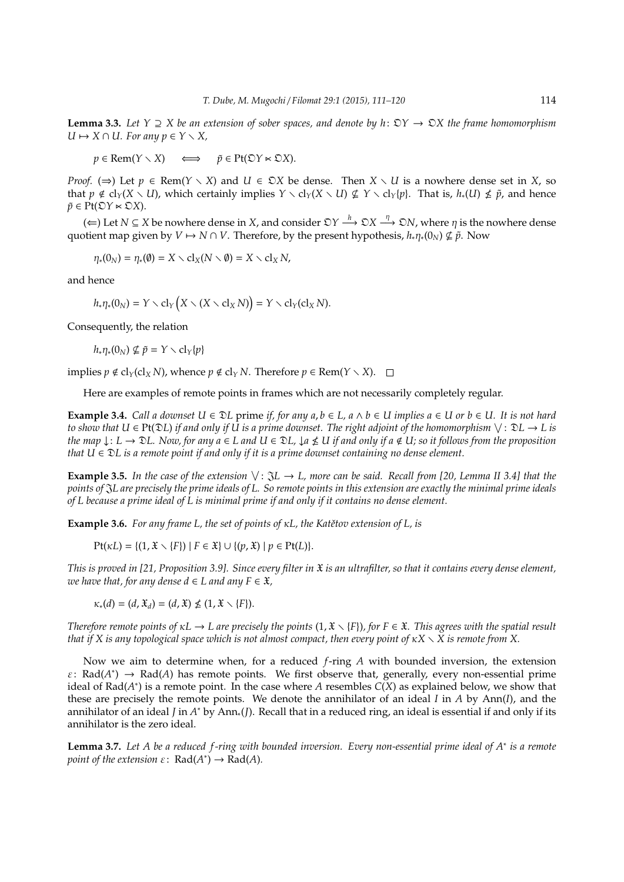**Lemma 3.3.** *Let Y* ⊇ *X be an extension of sober spaces, and denote by h*: O*Y* → O*X the frame homomorphism*  $U \mapsto X \cap U$ . For any  $p \in Y \setminus X$ ,

 $p \in \text{Rem}(Y \setminus X) \iff \tilde{p} \in \text{Pt}(\mathfrak{D}Y \ltimes \mathfrak{D}X).$ 

*Proof.* ( $\Rightarrow$ ) Let  $p \in \text{Rem}(Y \setminus X)$  and  $U \in \mathcal{DX}$  be dense. Then  $X \setminus U$  is a nowhere dense set in X, so that  $p \notin cl_Y(X \setminus U)$ , which certainly implies  $Y \setminus cl_Y(X \setminus U) \nsubseteq Y \setminus cl_Y(p)$ . That is,  $h_*(U) \nleq \tilde{p}$ , and hence  $\tilde{p} \in \text{Pt}(\mathfrak{D}Y \ltimes \mathfrak{D}X)$ .

 $($  ←  $)$  Let *N* ⊆ *X* be nowhere dense in *X*, and consider  $\mathfrak{D}Y \stackrel{h}{\longrightarrow} \mathfrak{D}X \stackrel{\eta}{\longrightarrow} \mathfrak{D}N$ , where  $\eta$  is the nowhere dense quotient map given by  $V \mapsto N \cap V$ . Therefore, by the present hypothesis,  $h_*\eta_*(0_N) \nsubseteq \tilde{p}$ . Now

$$
\eta_*(0_N) = \eta_*(\emptyset) = X \setminus \text{cl}_X(N \setminus \emptyset) = X \setminus \text{cl}_X N,
$$

and hence

$$
h_*\eta_*(0_N) = Y \setminus \text{cl}_Y\big(X \setminus (X \setminus \text{cl}_X N)\big) = Y \setminus \text{cl}_Y(\text{cl}_X N).
$$

Consequently, the relation

 $h_*\eta_*(0_N) \nsubseteq \tilde{p} = Y \setminus \text{cl}_Y\{p\}$ 

implies  $p \notin cl_Y(cl_X N)$ , whence  $p \notin cl_Y N$ . Therefore  $p \in \text{Rem}(Y \setminus X)$ .  $\Box$ 

Here are examples of remote points in frames which are not necessarily completely regular.

**Example 3.4.** *Call a downset U* ∈  $\mathfrak{D}L$  prime *if, for any a, b* ∈ *L, a* ∧ *b* ∈ *U implies a* ∈ *U* or *b* ∈ *U. It is not hard to show that U* ∈ Pt(D*L*) *if and only if U is a prime downset. The right adjoint of the homomorphism* W : D*L* → *L is the map* ↓: *L* → D*L. Now, for any a* ∈ *L and U* ∈ D*L,* ↓*a* - *U if and only if a* < *U; so it follows from the proposition that U* ∈ D*L is a remote point if and only if it is a prime downset containing no dense element.*

**Example 3.5.** In the case of the extension  $\vee$ :  $\Im L \rightarrow L$ , more can be said. Recall from [20, Lemma II 3.4] that the *points of* J*L are precisely the prime ideals of L. So remote points in this extension are exactly the minimal prime ideals of L because a prime ideal of L is minimal prime if and only if it contains no dense element.*

**Example 3.6.** *For any frame L, the set of points of κL, the Katětov extension of L, is* 

$$
Pt(\kappa L) = \{(1, \mathfrak{X} \setminus \{F\}) \mid F \in \mathfrak{X}\} \cup \{(p, \mathfrak{X}) \mid p \in Pt(L)\}.
$$

*This is proved in [21, Proposition 3.9]. Since every filter in* X *is an ultrafilter, so that it contains every dense element, we have that, for any dense*  $d \in L$  *and any*  $F \in \mathfrak{X}$ *,* 

 $\kappa_*(d) = (d, \mathfrak{X}_d) = (d, \mathfrak{X}) \nleq (1, \mathfrak{X} \setminus \{F\}).$ 

*Therefore remote points of*  $\kappa L \to L$  are precisely the points  $(1, \mathfrak{X} \setminus \{F\})$ , for  $F \in \mathfrak{X}$ . This agrees with the spatial result *that if* X is any topological space which is not almost compact, then every point of  $\kappa X \setminus X$  is remote from X.

Now we aim to determine when, for a reduced *f*-ring *A* with bounded inversion, the extension  $\varepsilon$ : Rad( $A^*$ )  $\rightarrow$  Rad( $A$ ) has remote points. We first observe that, generally, every non-essential prime ideal of  $Rad(A^*)$  is a remote point. In the case where *A* resembles  $C(X)$  as explained below, we show that these are precisely the remote points. We denote the annihilator of an ideal *I* in *A* by Ann(*I*), and the annihilator of an ideal *J* in *A* <sup>∗</sup> by Ann∗(*J*). Recall that in a reduced ring, an ideal is essential if and only if its annihilator is the zero ideal.

**Lemma 3.7.** *Let A be a reduced f -ring with bounded inversion. Every non-essential prime ideal of A*<sup>∗</sup> *is a remote point of the extension*  $\varepsilon$ :  $\text{Rad}(A^*) \to \text{Rad}(A)$ *.*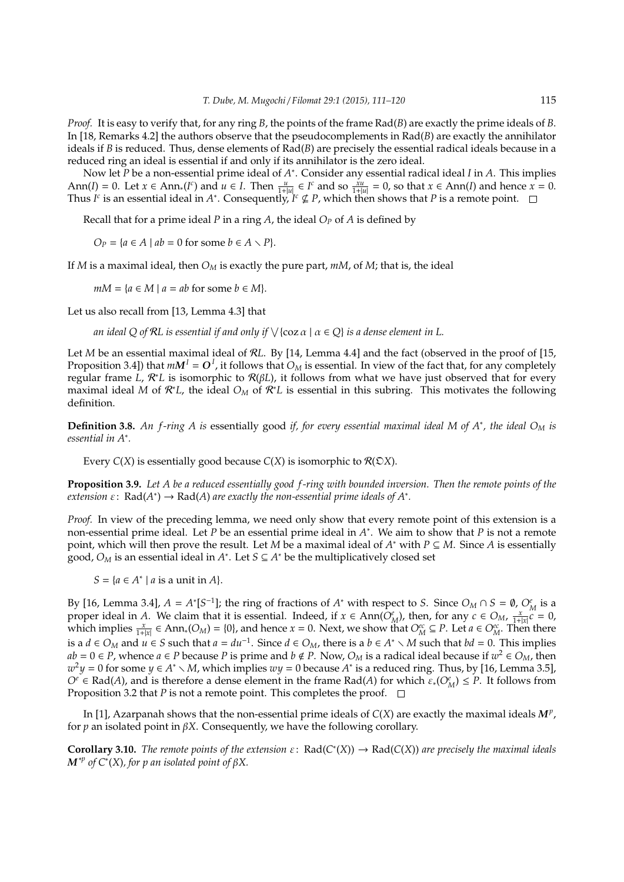*Proof.* It is easy to verify that, for any ring *B*, the points of the frame Rad(*B*) are exactly the prime ideals of *B*. In [18, Remarks 4.2] the authors observe that the pseudocomplements in Rad(*B*) are exactly the annihilator ideals if *B* is reduced. Thus, dense elements of Rad(*B*) are precisely the essential radical ideals because in a reduced ring an ideal is essential if and only if its annihilator is the zero ideal.

Now let *P* be a non-essential prime ideal of *A*<sup>∗</sup>. Consider any essential radical ideal *I* in *A*. This implies Ann(*I*) = 0. Let  $x \in Ann_*(I^c)$  and  $u \in I$ . Then  $\frac{u}{1+|u|} \in I^c$  and so  $\frac{xu}{1+|u|} = 0$ , so that  $x \in Ann(I)$  and hence  $x = 0$ . Thus *I*<sup>c</sup> is an essential ideal in *A*<sup>\*</sup>. Consequently, *I*<sup>c</sup>  $\nsubseteq$  *P*, which then shows that *P* is a remote point.

Recall that for a prime ideal *P* in a ring *A*, the ideal *O<sup>P</sup>* of *A* is defined by

 $O_P = \{a \in A \mid ab = 0 \text{ for some } b \in A \setminus P\}.$ 

If *M* is a maximal ideal, then *O<sup>M</sup>* is exactly the pure part, *mM*, of *M*; that is, the ideal

 $mM = {a \in M \mid a = ab \text{ for some } b \in M}.$ 

Let us also recall from [13, Lemma 4.3] that

*an ideal Q of* R*L is essential if and only if* W {coz α | α ∈ *Q*} *is a dense element in L.*

Let *M* be an essential maximal ideal of R*L*. By [14, Lemma 4.4] and the fact (observed in the proof of [15, Proposition 3.4]) that  $mM^I = O^I$ , it follows that  $O_M$  is essential. In view of the fact that, for any completely regular frame *L*, R <sup>∗</sup>*L* is isomorphic to R(β*L*), it follows from what we have just observed that for every maximal ideal *M* of R <sup>∗</sup>*L*, the ideal *O<sup>M</sup>* of R <sup>∗</sup>*L* is essential in this subring. This motivates the following definition.

**Definition 3.8.** *An f -ring A is* essentially good *if, for every essential maximal ideal M of A*<sup>∗</sup> *, the ideal O<sup>M</sup> is essential in A*<sup>∗</sup> *.*

Every  $C(X)$  is essentially good because  $C(X)$  is isomorphic to  $R(DX)$ .

**Proposition 3.9.** *Let A be a reduced essentially good f -ring with bounded inversion. Then the remote points of the extension*  $\varepsilon$ : Rad( $A^*$ )  $\rightarrow$  Rad( $A$ ) are exactly the non-essential prime ideals of  $A^*$ .

*Proof.* In view of the preceding lemma, we need only show that every remote point of this extension is a non-essential prime ideal. Let *P* be an essential prime ideal in *A* ∗ . We aim to show that *P* is not a remote point, which will then prove the result. Let *M* be a maximal ideal of *A* <sup>∗</sup> with *P* ⊆ *M*. Since *A* is essentially good, *O<sup>M</sup>* is an essential ideal in *A* ∗ . Let *S* ⊆ *A* <sup>∗</sup> be the multiplicatively closed set

 $S = \{a \in A^* \mid a \text{ is a unit in } A\}.$ 

By [16, Lemma 3.4],  $A = A^*[S^{-1}]$ ; the ring of fractions of  $A^*$  with respect to *S*. Since  $O_M \cap S = \emptyset$ ,  $O_M^e$  is a proper ideal in *A*. We claim that it is essential. Indeed, if  $x \in Ann(\hat{O}_{M}^{e})$ , then, for any  $c \in O_{M}$ ,  $\frac{x}{1+|x|}c = 0$ , which implies  $\frac{x}{1+|x|} \in Ann_*(O_M) = \{0\}$ , and hence  $x = 0$ . Next, we show that  $O_M^{ec} \subseteq P$ . Let  $a \in O_M^{ec}$ . Then there is a *d* ∈ *O<sub>M</sub>* and *u* ∈ *S* such that *a* = *du*<sup>-1</sup>. Since *d* ∈ *O<sub>M</sub>*, there is a *b* ∈ *A*<sup>\*</sup>  $\setminus$  *M* such that *bd* = 0. This implies *ab* = 0 ∈ *P*, whence *a* ∈ *P* because *P* is prime and *b* ∉ *P*. Now,  $O_M$  is a radical ideal because if  $w^2$  ∈  $O_M$ , then  $w^2y = 0$  for some  $y \in A^* \setminus M$ , which implies  $wy = 0$  because  $A^*$  is a reduced ring. Thus, by [16, Lemma 3.5],  $O^e \in \text{Rad}(A)$ , and is therefore a dense element in the frame  $\text{Rad}(A)$  for which  $\varepsilon_*(O_M^e) \leq P$ . It follows from Proposition 3.2 that *P* is not a remote point. This completes the proof.  $\square$ 

In [1], Azarpanah shows that the non-essential prime ideals of *C*(*X*) are exactly the maximal ideals *M<sup>p</sup>* , for  $p$  an isolated point in  $\beta X$ . Consequently, we have the following corollary.

**Corollary 3.10.** *The remote points of the extension*  $\varepsilon$ :  $Rad(C^*(X)) \to Rad(C(X))$  *are precisely the maximal ideals*  $\boldsymbol{M}^{*p}$  of C $^{*}$ (X), for p an isolated point of  $\beta$ X.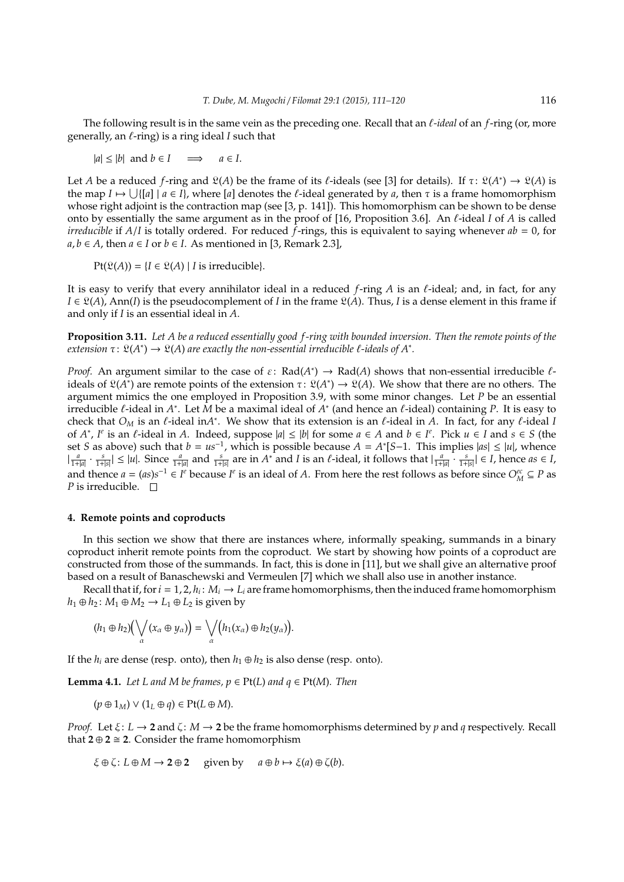The following result is in the same vein as the preceding one. Recall that an  $\ell$ -ideal of an  $f$ -ring (or, more generally, an  $\ell$ -ring) is a ring ideal  $I$  such that

 $|a| \le |b|$  and  $b \in I$   $\implies$   $a \in I$ .

Let *A* be a reduced *f*-ring and  $\mathfrak{L}(A)$  be the frame of its *t*-ideals (see [3] for details). If  $\tau: \mathfrak{L}(A^*) \to \mathfrak{L}(A)$  is the map  $I \mapsto \bigcup \{ [a] \mid a \in I \}$ , where  $[a]$  denotes the  $\ell$ -ideal generated by  $a$ , then  $\tau$  is a frame homomorphism whose right adjoint is the contraction map (see [3, p. 141]). This homomorphism can be shown to be dense onto by essentially the same argument as in the proof of [16, Proposition 3.6]. An  $\ell$ -ideal  $I$  of  $A$  is called *irreducible* if *A*/*I* is totally ordered. For reduced *f*-rings, this is equivalent to saying whenever *ab* = 0, for *a*, *b* ∈ *A*, then *a* ∈ *I* or *b* ∈ *I*. As mentioned in [3, Remark 2.3],

 $Pt(\mathfrak{L}(A)) = {I \in \mathfrak{L}(A) | I \text{ is irreducible}}.$ 

It is easy to verify that every annihilator ideal in a reduced *f*-ring *A* is an *l*-ideal; and, in fact, for any  $I \in \mathcal{Q}(A)$ , Ann(*I*) is the pseudocomplement of *I* in the frame  $\mathcal{Q}(A)$ . Thus, *I* is a dense element in this frame if and only if *I* is an essential ideal in *A*.

**Proposition 3.11.** *Let A be a reduced essentially good f -ring with bounded inversion. Then the remote points of the*  $ext{exression} \tau \colon \mathfrak{L}(A^*) \to \mathfrak{L}(A)$  are exactly the non-essential irreducible  $\ell$ -ideals of  $A^*$ .

*Proof.* An argument similar to the case of  $\varepsilon$ : Rad( $A^*$ )  $\to$  Rad( $A$ ) shows that non-essential irreducible  $\ell$ ideals of  $\mathfrak{L}(A^*)$  are remote points of the extension  $\tau: \mathfrak{L}(A^*) \to \mathfrak{L}(A)$ . We show that there are no others. The argument mimics the one employed in Proposition 3.9, with some minor changes. Let *P* be an essential irreducible  $\ell$ -ideal in  $A^*$ . Let  $\overline{M}$  be a maximal ideal of  $A^*$  (and hence an  $\ell$ -ideal) containing  $P$ . It is easy to check that  $O_M$  is an  $\ell$ -ideal in $A^*$ . We show that its extension is an  $\ell$ -ideal in  $A$ . In fact, for any  $\ell$ -ideal *I* of *A*<sup>\*</sup>, *I<sup>e</sup>* is an *l*-ideal in *A*. Indeed, suppose |*a*| ≤ |*b*| for some *a* ∈ *A* and *b* ∈ *I*<sup>*e*</sup>. Pick *u* ∈ *I* and *s* ∈ *S* (the set *S* as above) such that  $b = us^{-1}$ , which is possible because  $A = A<sup>*</sup>[S-1$ . This implies  $|as| ≤ |u|$ , whence  $\left|\frac{a}{1+|a|} \cdot \frac{s}{1+|s|}\right| \le |u|$ . Since  $\frac{a}{1+|a|}$  and  $\frac{s}{1+|s|}$  are in  $A^*$  and I is an  $\ell$ -ideal, it follows that  $\left|\frac{a}{1+|a|} \cdot \frac{s}{1+|s|}\right| \in I$ , hence  $as \in I$ , and thence  $a = (as)s^{-1} \in I^e$  because  $I^e$  is an ideal of *A*. From here the rest follows as before since  $O_M^{ec} \subseteq P$  as *P* is irreducible.  $\Box$ 

# **4. Remote points and coproducts**

In this section we show that there are instances where, informally speaking, summands in a binary coproduct inherit remote points from the coproduct. We start by showing how points of a coproduct are constructed from those of the summands. In fact, this is done in [11], but we shall give an alternative proof based on a result of Banaschewski and Vermeulen [7] which we shall also use in another instance.

Recall that if, for  $i = 1, 2, h_i$ :  $M_i \rightarrow L_i$  are frame homomorphisms, then the induced frame homomorphism  $h_1 \oplus h_2$ :  $M_1 \oplus M_2 \rightarrow L_1 \oplus L_2$  is given by

$$
(h_1\oplus h_2)\big(\bigvee_{\alpha}(x_{\alpha}\oplus y_{\alpha})\big)=\bigvee_{\alpha}\big(h_1(x_{\alpha})\oplus h_2(y_{\alpha})\big).
$$

If the  $h_i$  are dense (resp. onto), then  $h_1 \oplus h_2$  is also dense (resp. onto).

**Lemma 4.1.** *Let L and M be frames,*  $p \in Pt(L)$  *and*  $q \in Pt(M)$ *. Then* 

 $(p \oplus 1_M) \vee (1_L \oplus q) \in Pt(L \oplus M).$ 

*Proof.* Let ξ: *L* → **2** and ζ: *M* → **2** be the frame homomorphisms determined by *p* and *q* respectively. Recall that  $2 \oplus 2 \cong 2$ . Consider the frame homomorphism

$$
\xi \oplus \zeta : L \oplus M \to 2 \oplus 2
$$
 given by  $a \oplus b \mapsto \xi(a) \oplus \zeta(b)$ .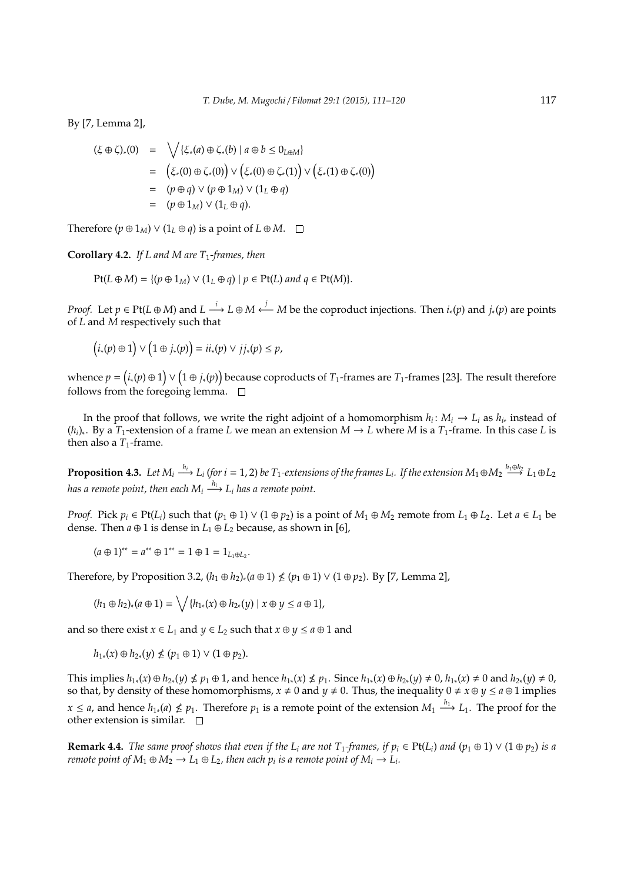By [7, Lemma 2],

$$
(\xi \oplus \zeta)_*(0) = \sqrt{\{\xi_*(a) \oplus \zeta_*(b) \mid a \oplus b \le 0_{L \oplus M}\}}
$$
  
\n
$$
= (\xi_*(0) \oplus \zeta_*(0)) \vee (\xi_*(0) \oplus \zeta_*(1)) \vee (\xi_*(1) \oplus \zeta_*(0))
$$
  
\n
$$
= (p \oplus q) \vee (p \oplus 1_M) \vee (1_L \oplus q)
$$
  
\n
$$
= (p \oplus 1_M) \vee (1_L \oplus q).
$$

Therefore  $(p \oplus 1_M) \vee (1_L \oplus q)$  is a point of  $L \oplus M$ .  $\square$ 

**Corollary 4.2.** *If L and M are T*1*-frames, then*

$$
Pt(L \oplus M) = \{ (p \oplus 1_M) \vee (1_L \oplus q) \mid p \in Pt(L) \text{ and } q \in Pt(M) \}.
$$

*Proof.* Let  $p \in Pt(L \oplus M)$  and  $L \stackrel{i}{\longrightarrow} L \oplus M \stackrel{j}{\longleftarrow} M$  be the coproduct injections. Then  $i_*(p)$  and  $j_*(p)$  are points of *L* and *M* respectively such that

$$
(i_*(p) \oplus 1) \vee (1 \oplus j_*(p)) = ii_*(p) \vee jj_*(p) \leq p,
$$

whence  $p = (i_*(p) \oplus 1) \vee (1 \oplus j_*(p))$  because coproducts of  $T_1$ -frames are  $T_1$ -frames [23]. The result therefore follows from the foregoing lemma.  $\square$ 

In the proof that follows, we write the right adjoint of a homomorphism  $h_i: M_i \to L_i$  as  $h_{i*}$  instead of (*hi*)<sup>∗</sup> . By a *T*1-extension of a frame *L* we mean an extension *M* → *L* where *M* is a *T*1-frame. In this case *L* is then also a  $T_1$ -frame.

**Proposition 4.3.** Let  $M_i \xrightarrow{h_i} L_i$  (for  $i = 1, 2$ ) be  $T_1$ -extensions of the frames  $L_i$ . If the extension  $M_1 \oplus M_2 \xrightarrow{h_1 \oplus h_2} L_1 \oplus L_2$ has a remote point, then each  $M_i \stackrel{h_i}{\longrightarrow} L_i$  has a remote point.

*Proof.* Pick  $p_i \in \text{Pt}(L_i)$  such that  $(p_1 \oplus 1) \vee (1 \oplus p_2)$  is a point of  $M_1 \oplus M_2$  remote from  $L_1 \oplus L_2$ . Let  $a \in L_1$  be dense. Then  $a \oplus 1$  is dense in  $L_1 \oplus L_2$  because, as shown in [6],

$$
(a \oplus 1)^{**} = a^{**} \oplus 1^{**} = 1 \oplus 1 = 1_{L_1 \oplus L_2}.
$$

Therefore, by Proposition 3.2, (*h*<sup>1</sup> ⊕ *h*2)∗(*a* ⊕ 1) - (*p*<sup>1</sup> ⊕ 1) ∨ (1 ⊕ *p*2). By [7, Lemma 2],

$$
(h_1\oplus h_2)_*(a\oplus 1)=\bigvee\{h_{1*}(x)\oplus h_{2*}(y)\mid x\oplus y\leq a\oplus 1\},\
$$

and so there exist  $x \in L_1$  and  $y \in L_2$  such that  $x \oplus y \le a \oplus 1$  and

 $h_{1*}(x) \oplus h_{2*}(y) \nleq (p_1 \oplus 1) \vee (1 \oplus p_2).$ 

This implies  $h_{1*}(x) \oplus h_{2*}(y) \nleq p_1 \oplus 1$ , and hence  $h_{1*}(x) \nleq p_1$ . Since  $h_{1*}(x) \oplus h_{2*}(y) \neq 0$ ,  $h_{1*}(x) \neq 0$  and  $h_{2*}(y) \neq 0$ , so that, by density of these homomorphisms,  $x \neq 0$  and  $y \neq 0$ . Thus, the inequality  $0 \neq x \oplus y \leq a \oplus 1$  implies *x* ≤ *a*, and hence  $h_{1*}(a)$  ≰  $p_1$ . Therefore  $p_1$  is a remote point of the extension  $M_1 \stackrel{h_1}{\longrightarrow} L_1$ . The proof for the other extension is similar.  $\square$ 

**Remark 4.4.** *The same proof shows that even if the L<sub>i</sub> are not T<sub>1</sub>-frames, if*  $p_i \in Pt(L_i)$  *and*  $(p_1 \oplus 1) \vee (1 \oplus p_2)$  *is a remote point of*  $M_1 \oplus M_2 \to L_1 \oplus L_2$ , then each  $p_i$  is a remote point of  $M_i \to L_i$ .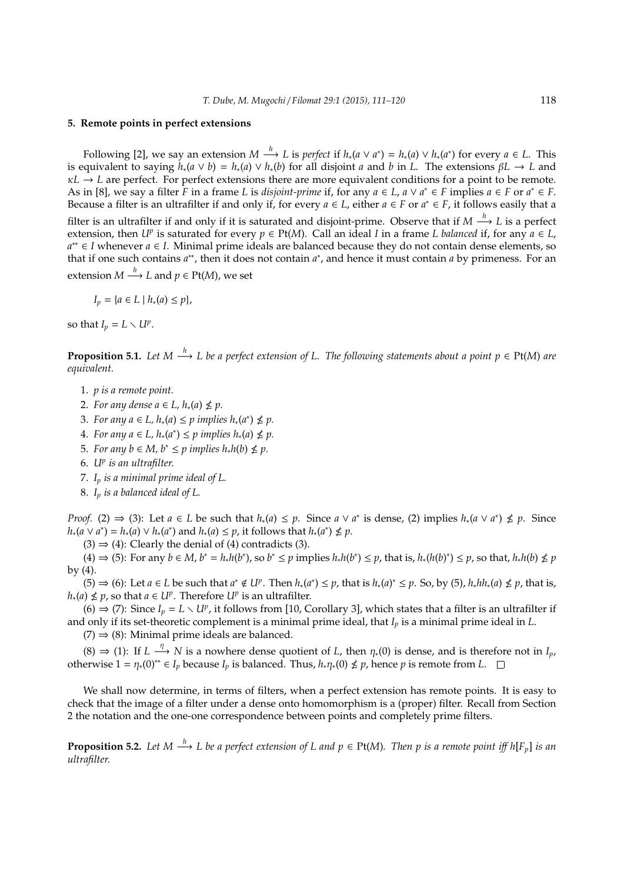## **5. Remote points in perfect extensions**

Following [2], we say an extension  $M \xrightarrow{h} L$  is *perfect* if  $h_*(a \vee a^*) = h_*(a) \vee h_*(a^*)$  for every  $a \in L$ . This is equivalent to saying  $h_*(a \vee b) = h_*(a) \vee h_*(b)$  for all disjoint *a* and *b* in *L*. The extensions  $\beta L \to L$  and  $\kappa L \rightarrow L$  are perfect. For perfect extensions there are more equivalent conditions for a point to be remote. As in [8], we say a filter  $\overline{F}$  in a frame *L* is *disjoint-prime* if, for any  $a \in L$ ,  $a \vee a^* \in \overline{F}$  implies  $a \in \overline{F}$  or  $a^* \in \overline{F}$ . Because a filter is an ultrafilter if and only if, for every  $a \in L$ , either  $a \in F$  or  $a^* \in F$ , it follows easily that a

filter is an ultrafilter if and only if it is saturated and disjoint-prime. Observe that if  $M \stackrel{h}{\longrightarrow} L$  is a perfect extension, then  $U^p$  is saturated for every  $p \in Pt(M)$ . Call an ideal *I* in a frame *L* balanced if, for any  $a \in L$ , *a* ∗∗ ∈ *I* whenever *a* ∈ *I*. Minimal prime ideals are balanced because they do not contain dense elements, so that if one such contains *a*<sup>\*\*</sup>, then it does not contain *a*<sup>\*</sup>, and hence it must contain *a* by primeness. For an extension  $M \stackrel{h}{\longrightarrow} L$  and  $p \in \text{Pt}(M)$ , we set

$$
I_p = \{a \in L \mid h_*(a) \le p\},\
$$

so that  $I_p = L \setminus U^p$ .

**Proposition 5.1.** Let M  $\stackrel{h}{\longrightarrow}$  L be a perfect extension of L. The following statements about a point  $p \in Pt(M)$  are *equivalent.*

- 1. *p is a remote point.*
- 2. For any dense  $a \in L$ ,  $h_*(a) \nleq p$ .
- 3. For any  $a \in L$ ,  $h_*(a) \leq p$  implies  $h_*(a^*) \nleq p$ .
- **4**. *For any a* ∈ *L*,  $h_*(a^*)$  ≤ *p implies*  $h_*(a)$  ≰ *p*.
- 5. For any  $b \in M$ ,  $b^* \leq p$  implies  $h_*h(b) \nleq p$ .
- 6. *U<sup>p</sup> is an ultrafilter.*
- 7. *I<sup>p</sup> is a minimal prime ideal of L.*
- 8. *I<sup>p</sup> is a balanced ideal of L.*

*Proof.* (2)  $\Rightarrow$  (3): Let *a* ∈ *L* be such that *h*<sub>∗</sub>(*a*) ≤ *p*. Since *a* ∨ *a*<sup>\*</sup> is dense, (2) implies *h*<sub>∗</sub>(*a* ∨ *a*<sup>\*</sup>) ≰ *p*. Since  $h_*(a \vee a^*) = h_*(a) \vee h_*(a^*)$  and  $h_*(a) \leq p$ , it follows that  $h_*(a^*) \nleq p$ .

 $(3) \Rightarrow (4)$ : Clearly the denial of (4) contradicts (3).

(4)  $\Rightarrow$  (5): For any  $b \in M$ ,  $b^* = h_*h(b^*)$ , so  $b^* \le p$  implies  $h_*h(b^*) \le p$ , that is,  $h_*(h(b)^*) \le p$ , so that,  $h_*h(b) \nle p$ by (4).

(5)  $\Rightarrow$  (6): Let  $a \in L$  be such that  $a^* \notin U^p$ . Then  $h_*(a^*) \leq p$ , that is  $h_*(a)^* \leq p$ . So, by (5),  $h_*hh_*(a) \nleq p$ , that is, *h*<sub>∗</sub>(*a*) ≰ *p*, so that *a* ∈ *U<sup>p</sup>*. Therefore *U<sup>p</sup>* is an ultrafilter.

(6)  $\Rightarrow$  (7): Since *I<sub>p</sub>* = *L* ∖ *U<sup>p</sup>*, it follows from [10, Corollary 3], which states that a filter is an ultrafilter if and only if its set-theoretic complement is a minimal prime ideal, that *I<sup>p</sup>* is a minimal prime ideal in *L*.  $(7) \Rightarrow (8)$ : Minimal prime ideals are balanced.

 $(8)$  ⇒ (1): If *L*  $\stackrel{\eta}{\longrightarrow} N$  is a nowhere dense quotient of *L*, then  $\eta_*(0)$  is dense, and is therefore not in *I<sub>p</sub>*, otherwise  $1 = \eta_*(0)^{**} \in I_p$  because  $I_p$  is balanced. Thus,  $h_*\eta_*(0) \nleq p$ , hence p is remote from L.

We shall now determine, in terms of filters, when a perfect extension has remote points. It is easy to check that the image of a filter under a dense onto homomorphism is a (proper) filter. Recall from Section 2 the notation and the one-one correspondence between points and completely prime filters.

**Proposition 5.2.** Let M  $\stackrel{h}{\longrightarrow}$  L be a perfect extension of L and  $p \in Pt(M)$ . Then p is a remote point iff  $h[F_p]$  is an *ultrafilter.*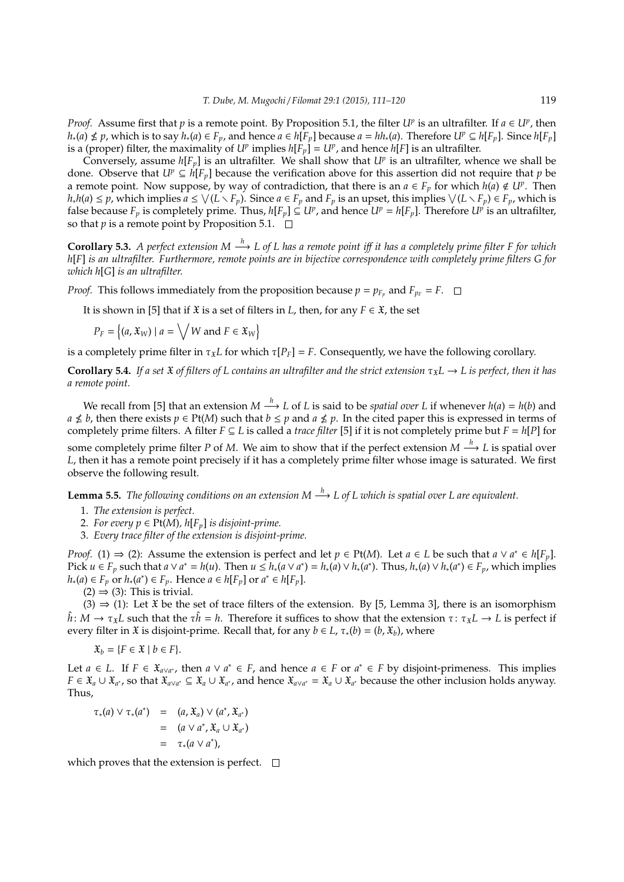*Proof.* Assume first that *p* is a remote point. By Proposition 5.1, the filter *U<sup>p</sup>* is an ultrafilter. If  $a \in U^p$ , then  $h_*(a) \nleq p$ , which is to say  $h_*(a) \in F_p$ , and hence  $a \in h[\tilde{F}_p]$  because  $a = hh_*(a)$ . Therefore  $U^p \subseteq h[F_p]$ . Since  $h[F_p]$ is a (proper) filter, the maximality of  $U^p$  implies  $h[F_p] = U^p$ , and hence  $h[F]$  is an ultrafilter.

Conversely, assume  $h[F_p]$  is an ultrafilter. We shall show that  $U^p$  is an ultrafilter, whence we shall be done. Observe that  $U^p \subseteq h[F_p]$  because the verification above for this assertion did not require that *p* be a remote point. Now suppose, by way of contradiction, that there is an  $a \in F_p$  for which  $h(a) \notin U^p$ . Then  $h_*h(a)\leq p$ , which implies  $a\leq\bigvee(L\smallsetminus F_p).$  Since  $a\in F_p$  and  $F_p$  is an upset, this implies  $\bigvee(L\smallsetminus F_p)\in F_p$ , which is false because  $F_p$  is completely prime. Thus,  $h[F_p] ⊆ U^p$ , and hence  $U^p = h[F_p]$ . Therefore  $U^p$  is an ultrafilter, so that *p* is a remote point by Proposition 5.1.  $\Box$ 

**Corollary 5.3.** *A perfect extension M* → *L* of *L* has a remote point iff it has a completely prime filter F for which *h*[*F*] *is an ultrafilter. Furthermore, remote points are in bijective correspondence with completely prime filters G for which h*[*G*] *is an ultrafilter.*

*Proof.* This follows immediately from the proposition because  $p = p_{F_p}$  and  $F_{p_F} = F$ .

It is shown in [5] that if  $\mathfrak X$  is a set of filters in *L*, then, for any  $F \in \mathfrak X$ , the set

$$
P_F = \{(a, \mathfrak{X}_W) \mid a = \bigvee W \text{ and } F \in \mathfrak{X}_W\}
$$

is a completely prime filter in  $\tau_{x}L$  for which  $\tau[P_F] = F$ . Consequently, we have the following corollary.

**Corollary 5.4.** *If a set*  $\tilde{x}$  *of filters of L contains an ultrafilter and the strict extension*  $\tau_x L \to L$  *is perfect, then it has a remote point.*

We recall from [5] that an extension  $M \stackrel{h}{\longrightarrow} L$  of *L* is said to be *spatial over L* if whenever  $h(a) = h(b)$  and *a*  $\nleq$  *b*, then there exists *p* ∈ Pt(*M*) such that *b* ≤ *p* and *a* ≰ *p*. In the cited paper this is expressed in terms of completely prime filters. A filter  $F \subseteq L$  is called a *trace filter* [5] if it is not completely prime but  $F = h[P]$  for some completely prime filter *P* of *M*. We aim to show that if the perfect extension  $M \stackrel{h}{\longrightarrow} L$  is spatial over *L*, then it has a remote point precisely if it has a completely prime filter whose image is saturated. We first observe the following result.

**Lemma 5.5.** *The following conditions on an extension M*  $\stackrel{h}{\longrightarrow}$  *L* of *L* which is spatial over *L* are equivalent.

- 1. *The extension is perfect.*
- 2. *For every*  $p \in Pt(M)$ *, h*[ $F_p$ ] *is disjoint-prime.*
- 3. *Every trace filter of the extension is disjoint-prime.*

*Proof.* (1)  $\Rightarrow$  (2): Assume the extension is perfect and let  $p \in Pt(M)$ . Let  $a \in L$  be such that  $a \vee a^* \in h[F_p]$ . Pick  $u \in F_p$  such that  $a \vee a^* = h(u)$ . Then  $u \leq h_*(a \vee a^*) = h_*(a) \vee h_*(a^*)$ . Thus,  $h_*(a) \vee h_*(a^*) \in F_p$ , which implies *h*<sub>∗</sub>(*a*) ∈ *F*<sub>*p*</sub> or *h*<sub>∗</sub>(*a*<sup>\*</sup>) ∈ *F*<sub>*p*</sub>. Hence *a* ∈ *h*[*F*<sub>*p*</sub>] or *a*<sup>\*</sup> ∈ *h*[*F*<sub>*p*</sub>].

 $(2) \Rightarrow (3)$ : This is trivial.

(3)  $\Rightarrow$  (1): Let  $\ddot{x}$  be the set of trace filters of the extension. By [5, Lemma 3], there is an isomorphism  $\hat{h}: M \to \tau_x L$  such that the  $\tau \hat{h} = h$ . Therefore it suffices to show that the extension  $\tau: \tau_x L \to L$  is perfect if every filter in  $\mathfrak X$  is disjoint-prime. Recall that, for any  $b \in L$ ,  $\tau_*(b) = (b, \mathfrak X_b)$ , where

 $\mathfrak{X}_b = \{F \in \mathfrak{X} \mid b \in F\}.$ 

Let  $a \in L$ . If  $F \in \mathfrak{X}_{a \vee a^*}$ , then  $a \vee a^* \in F$ , and hence  $a \in F$  or  $a^* \in F$  by disjoint-primeness. This implies *F* ∈  $\mathfrak{X}_a \cup \mathfrak{X}_{a^*}$ , so that  $\mathfrak{X}_{a \vee a^*} \subseteq \mathfrak{X}_a \cup \mathfrak{X}_{a^*}$ , and hence  $\mathfrak{X}_{a \vee a^*} = \mathfrak{X}_a \cup \mathfrak{X}_{a^*}$  because the other inclusion holds anyway. Thus,

 $\tau_*(a) \vee \tau_*(a^*) = (a, \mathfrak{X}_a) \vee (a^*, \mathfrak{X}_{a^*})$  $= (a \vee a^*, \mathfrak{X}_a \cup \mathfrak{X}_{a^*})$ = τ∗(*a* ∨ *a* ∗ ),

which proves that the extension is perfect.  $\Box$